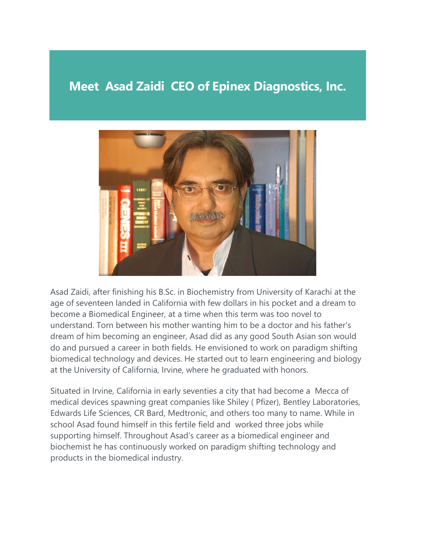## **Meet Asad Zaidi CEO of Epinex Diagnostics, Inc.**



Asad Zaidi, after finishing his B.Sc. in Biochemistry from University of Karachi at the age of seventeen landed in California with few dollars in his pocket and a dream to become a Biomedical Engineer, at a time when this term was too novel to understand. Torn between his mother wanting him to be a doctor and his father's dream of him becoming an engineer, Asad did as any good South Asian son would do and pursued a career in both fields. He envisioned to work on paradigm shifting biomedical technology and devices. He started out to learn engineering and biology at the University of California, Irvine, where he graduated with honors.

Situated in Irvine, California in early seventies a city that had become a Mecca of medical devices spawning great companies like Shiley ( Pfizer), Bentley Laboratories, Edwards Life Sciences, CR Bard, Medtronic, and others too many to name. While in school Asad found himself in this fertile field and worked three jobs while supporting himself. Throughout Asad's career as a biomedical engineer and biochemist he has continuously worked on paradigm shifting technology and products in the biomedical industry.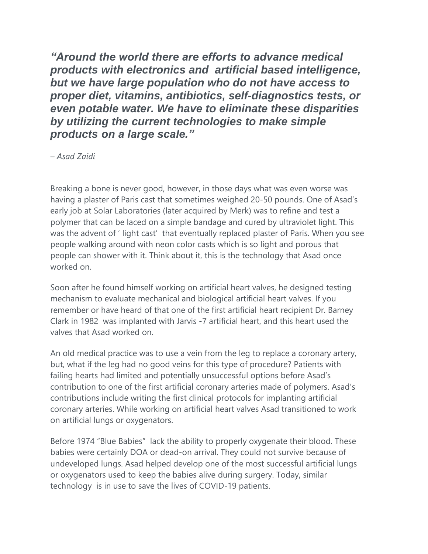*"Around the world there are efforts to advance medical products with electronics and artificial based intelligence, but we have large population who do not have access to proper diet, vitamins, antibiotics, self-diagnostics tests, or even potable water. We have to eliminate these disparities by utilizing the current technologies to make simple products on a large scale."*

*– Asad Zaidi*

Breaking a bone is never good, however, in those days what was even worse was having a plaster of Paris cast that sometimes weighed 20-50 pounds. One of Asad's early job at Solar Laboratories (later acquired by Merk) was to refine and test a polymer that can be laced on a simple bandage and cured by ultraviolet light. This was the advent of ' light cast' that eventually replaced plaster of Paris. When you see people walking around with neon color casts which is so light and porous that people can shower with it. Think about it, this is the technology that Asad once worked on.

Soon after he found himself working on artificial heart valves, he designed testing mechanism to evaluate mechanical and biological artificial heart valves. If you remember or have heard of that one of the first artificial heart recipient Dr. Barney Clark in 1982 was implanted with Jarvis -7 artificial heart, and this heart used the valves that Asad worked on.

An old medical practice was to use a vein from the leg to replace a coronary artery, but, what if the leg had no good veins for this type of procedure? Patients with failing hearts had limited and potentially unsuccessful options before Asad's contribution to one of the first artificial coronary arteries made of polymers. Asad's contributions include writing the first clinical protocols for implanting artificial coronary arteries. While working on artificial heart valves Asad transitioned to work on artificial lungs or oxygenators.

Before 1974 "Blue Babies" lack the ability to properly oxygenate their blood. These babies were certainly DOA or dead-on arrival. They could not survive because of undeveloped lungs. Asad helped develop one of the most successful artificial lungs or oxygenators used to keep the babies alive during surgery. Today, similar technology is in use to save the lives of COVID-19 patients.